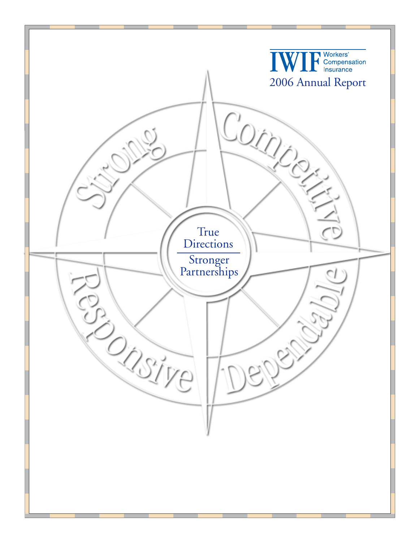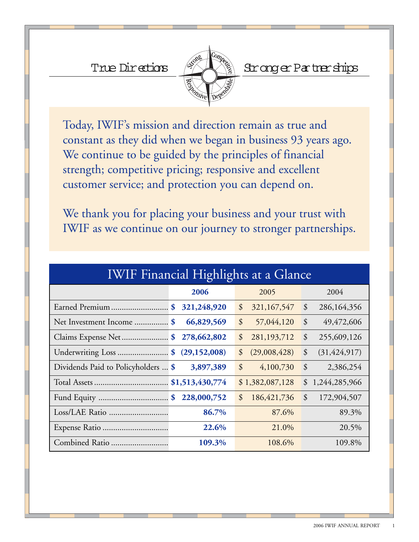

True Directions (XAX) Stronger Partnerships

Today, IWIF's mission and direction remain as true and constant as they did when we began in business 93 years ago. We continue to be guided by the principles of financial strength; competitive pricing; responsive and excellent customer service; and protection you can depend on.

We thank you for placing your business and your trust with IWIF as we continue on our journey to stronger partnerships.

| <b>IWIF Financial Highlights at a Glance</b> |             |                                              |                                         |  |
|----------------------------------------------|-------------|----------------------------------------------|-----------------------------------------|--|
|                                              | 2006        | 2005                                         | 2004                                    |  |
|                                              |             | $\mathcal{S}$<br>321, 167, 547               | \$<br>286,164,356                       |  |
|                                              | 66,829,569  | $\boldsymbol{\mathcal{S}}$<br>57,044,120     | \$<br>49, 472, 606                      |  |
| Claims Expense Net  \$ 278,662,802           |             | \$<br>281, 193, 712                          | \$<br>255,609,126                       |  |
| Underwriting Loss \$ (29,152,008)            |             | $\boldsymbol{\mathcal{S}}$<br>(29,008,428)   | \$<br>(31, 424, 917)                    |  |
| Dividends Paid to Policyholders  \$          | 3,897,389   | $\boldsymbol{\mathsf{\hat{S}}}$<br>4,100,730 | $\boldsymbol{\mathcal{S}}$<br>2,386,254 |  |
|                                              |             | \$1,382,087,128                              | \$1,244,285,966                         |  |
|                                              | 228,000,752 | 186, 421, 736<br>$\mathcal{S}$               | $\mathcal{S}$<br>172,904,507            |  |
| Loss/LAE Ratio                               | 86.7%       | 87.6%                                        | 89.3%                                   |  |
|                                              | 22.6%       | 21.0%                                        | 20.5%                                   |  |
| Combined Ratio                               | 109.3%      | 108.6%                                       | 109.8%                                  |  |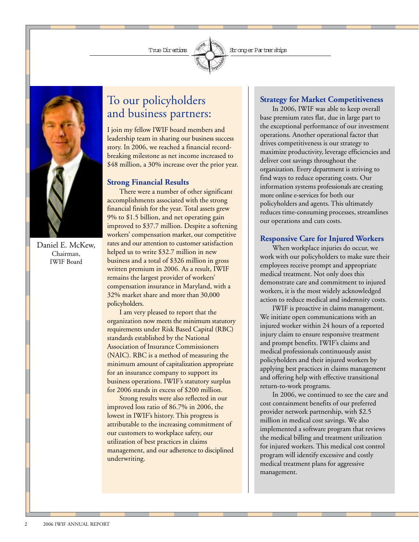

Daniel E. McKew, Chairman, IWIF Board

# To our policyholders and business partners:

I join my fellow IWIF board members and leadership team in sharing our business success story. In 2006, we reached a financial recordbreaking milestone as net income increased to \$48 million, a 30% increase over the prior year.

### **Strong Financial Results**

There were a number of other significant accomplishments associated with the strong financial finish for the year. Total assets grew 9% to \$1.5 billion, and net operating gain improved to \$37.7 million. Despite a softening workers' compensation market, our competitive rates and our attention to customer satisfaction helped us to write \$32.7 million in new business and a total of \$326 million in gross written premium in 2006. As a result, IWIF remains the largest provider of workers' compensation insurance in Maryland, with a 32% market share and more than 30,000 policyholders.

I am very pleased to report that the organization now meets the minimum statutory requirements under Risk Based Capital (RBC) standards established by the National Association of Insurance Commissioners (NAIC). RBC is a method of measuring the minimum amount of capitalization appropriate for an insurance company to support its business operations. IWIF's statutory surplus for 2006 stands in excess of \$200 million.

Strong results were also reflected in our improved loss ratio of 86.7% in 2006, the lowest in IWIF's history. This progress is attributable to the increasing commitment of our customers to workplace safety, our utilization of best practices in claims management, and our adherence to disciplined underwriting.

### **Strategy for Market Competitiveness**

In 2006, IWIF was able to keep overall base premium rates flat, due in large part to the exceptional performance of our investment operations. Another operational factor that drives competitiveness is our strategy to maximize productivity, leverage efficiencies and deliver cost savings throughout the organization. Every department is striving to find ways to reduce operating costs. Our information systems professionals are creating more online e-services for both our policyholders and agents. This ultimately reduces time-consuming processes, streamlines our operations and cuts costs.

### **Responsive Care for Injured Workers**

When workplace injuries do occur, we work with our policyholders to make sure their employees receive prompt and appropriate medical treatment. Not only does this demonstrate care and commitment to injured workers, it is the most widely acknowledged action to reduce medical and indemnity costs.

IWIF is proactive in claims management. We initiate open communications with an injured worker within 24 hours of a reported injury claim to ensure responsive treatment and prompt benefits. IWIF's claims and medical professionals continuously assist policyholders and their injured workers by applying best practices in claims management and offering help with effective transitional return-to-work programs.

In 2006, we continued to see the care and cost containment benefits of our preferred provider network partnership, with \$2.5 million in medical cost savings. We also implemented a software program that reviews the medical billing and treatment utilization for injured workers. This medical cost control program will identify excessive and costly medical treatment plans for aggressive management.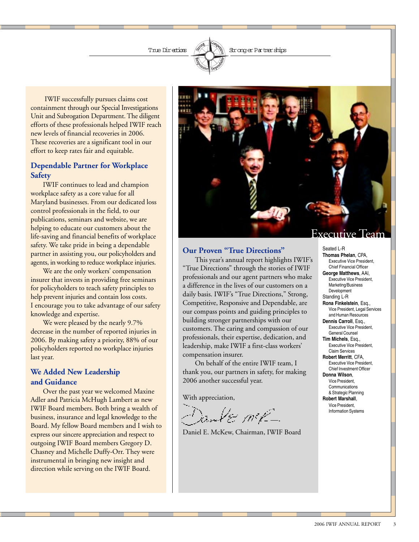The Directions  $\mathscr{B}\setminus\mathbb{R}\setminus\mathscr{C}$  Stronger Partnerships

IWIF successfully pursues claims cost containment through our Special Investigations Unit and Subrogation Department. The diligent efforts of these professionals helped IWIF reach new levels of financial recoveries in 2006. These recoveries are a significant tool in our effort to keep rates fair and equitable.

### **Dependable Partner for Workplace Safety**

IWIF continues to lead and champion workplace safety as a core value for all Maryland businesses. From our dedicated loss control professionals in the field, to our publications, seminars and website, we are helping to educate our customers about the life-saving and financial benefits of workplace safety. We take pride in being a dependable partner in assisting you, our policyholders and agents, in working to reduce workplace injuries.

We are the only workers' compensation insurer that invests in providing free seminars for policyholders to teach safety principles to help prevent injuries and contain loss costs. I encourage you to take advantage of our safety knowledge and expertise.

We were pleased by the nearly 9.7% decrease in the number of reported injuries in 2006. By making safety a priority, 88% of our policyholders reported no workplace injuries last year.

### **We Added New Leadership and Guidance**

Over the past year we welcomed Maxine Adler and Patricia McHugh Lambert as new IWIF Board members. Both bring a wealth of business, insurance and legal knowledge to the Board. My fellow Board members and I wish to express our sincere appreciation and respect to outgoing IWIF Board members Gregory D. Chasney and Michelle Duffy-Orr. They were instrumental in bringing new insight and direction while serving on the IWIF Board.



### **Our Proven "True Directions"**

This year's annual report highlights IWIF's "True Directions" through the stories of IWIF professionals and our agent partners who make a difference in the lives of our customers on a daily basis. IWIF's "True Directions," Strong, Competitive, Responsive and Dependable, are our compass points and guiding principles to building stronger partnerships with our customers. The caring and compassion of our professionals, their expertise, dedication, and leadership, make IWIF a first-class workers' compensation insurer.

On behalf of the entire IWIF team, I thank you, our partners in safety, for making 2006 another successful year.

With appreciation,

œm4e m≠-

Daniel E. McKew, Chairman, IWIF Board

### Executive Team

Seated L-R **Thomas Phelan**, CPA, Executive Vice President, Chief Financial Officer **George Matthews**, AAI, Executive Vice President, Marketing/Business Development Standing L-R **Rona Finkelstein**, Esq., Vice President, Legal Services and Human Resources **Dennis Carroll**, Esq., Executive Vice President, General Counsel **Tim Michels**, Esq., Executive Vice President, Claim Services **Robert Merritt**, CFA, Executive Vice President, Chief Investment Officer **Donna Wilson**, Vice President, **Communications** & Strategic Planning **Robert Marshall**,

Vice President, Information Systems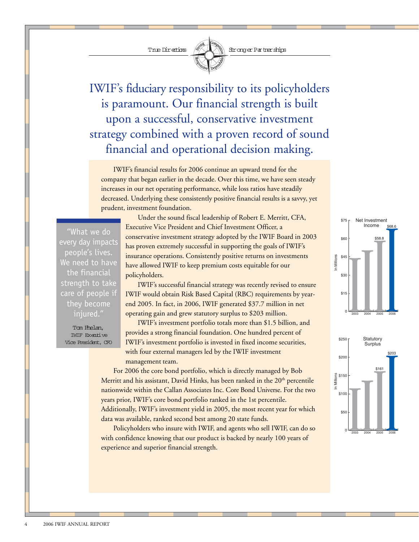

IWIF's fiduciary responsibility to its policyholders is paramount. Our financial strength is built upon a successful, conservative investment strategy combined with a proven record of sound financial and operational decision making.

IWIF's financial results for 2006 continue an upward trend for the company that began earlier in the decade. Over this time, we have seen steady increases in our net operating performance, while loss ratios have steadily decreased. Underlying these consistently positive financial results is a savvy, yet prudent, investment foundation.

"What we do every day impacts people's lives. We need to have the financial strength to take care of people if they become injured."

> Tom Phelan, IWIF Executive Vice President, CFO

Under the sound fiscal leadership of Robert E. Merritt, CFA, Executive Vice President and Chief Investment Officer, a conservative investment strategy adopted by the IWIF Board in 2003 has proven extremely successful in supporting the goals of IWIF's insurance operations. Consistently positive returns on investments have allowed IWIF to keep premium costs equitable for our policyholders.

IWIF's successful financial strategy was recently revised to ensure IWIF would obtain Risk Based Capital (RBC) requirements by yearend 2005. In fact, in 2006, IWIF generated \$37.7 million in net operating gain and grew statutory surplus to \$203 million.

IWIF's investment portfolio totals more than \$1.5 billion, and provides a strong financial foundation. One hundred percent of IWIF's investment portfolio is invested in fixed income securities, with four external managers led by the IWIF investment management team.

For 2006 the core bond portfolio, which is directly managed by Bob Merritt and his assistant, David Hinks, has been ranked in the 20<sup>th</sup> percentile nationwide within the Callan Associates Inc. Core Bond Universe. For the two years prior, IWIF's core bond portfolio ranked in the 1st percentile. Additionally, IWIF's investment yield in 2005, the most recent year for which data was available, ranked second best among 20 state funds.

Policyholders who insure with IWIF, and agents who sell IWIF, can do so with confidence knowing that our product is backed by nearly 100 years of experience and superior financial strength.



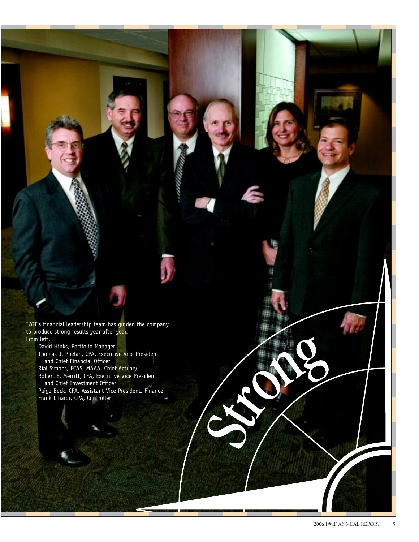IWIF's financial leadership team has guided the company to produce strong results year after year. From left,

David Hinks, Portfolio Manager Thomas J. Phelan, CPA, Executive Vice President and Chief Financial Officer

Rial Simons, FCAS, MAAA, Chief Actuary Robert E. Merritt, CFA, Executive Vice President and Chief Investment Officer

Paige Beck, CPA, Assistant Vice President, Finance Frank Linardi, CPA, Controller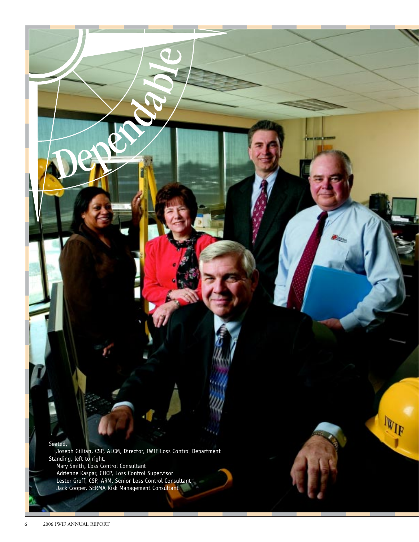### Seated,

 Joseph Gillian, CSP, ALCM, Director, IWIF Loss Control Department Standing, left to right, Mary Smith, Loss Control Consultant

 $\mathbb{W}_{\text{IP}}$ 

 Adrienne Kaspar, CHCP, Loss Control Supervisor Lester Groff, CSP, ARM, Senior Loss Control Consultant Jack Cooper, SERMA Risk Management Consultant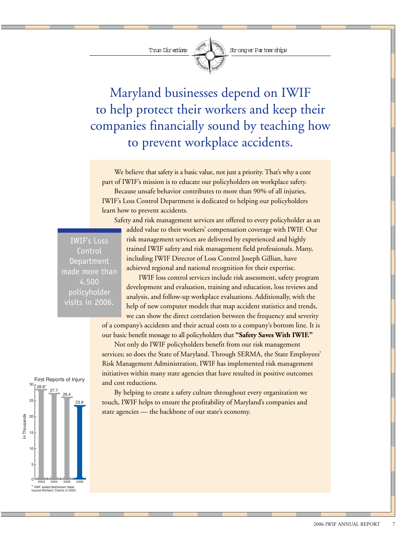

The Directions  $\mathscr{B}\setminus\mathbb{R}\setminus\mathbb{R}$  Stronger Partnerships

Maryland businesses depend on IWIF to help protect their workers and keep their companies financially sound by teaching how to prevent workplace accidents.

We believe that safety is a basic value, not just a priority. That's why a core part of IWIF's mission is to educate our policyholders on workplace safety. Because unsafe behavior contributes to more than 90% of all injuries, IWIF's Loss Control Department is dedicated to helping our policyholders learn how to prevent accidents.

IWIF's Loss Control Department made more than 4,500 policyholder visits in 2006.

Safety and risk management services are offered to every policyholder as an added value to their workers' compensation coverage with IWIF. Our risk management services are delivered by experienced and highly trained IWIF safety and risk management field professionals. Many, including IWIF Director of Loss Control Joseph Gillian, have achieved regional and national recognition for their expertise.

IWIF loss control services include risk assessment, safety program development and evaluation, training and education, loss reviews and analysis, and follow-up workplace evaluations. Additionally, with the help of new computer models that map accident statistics and trends, we can show the direct correlation between the frequency and severity

of a company's accidents and their actual costs to a company's bottom line. It is our basic benefit message to all policyholders that **"Safety Saves With IWIF."**

Not only do IWIF policyholders benefit from our risk management services; so does the State of Maryland. Through SERMA, the State Employees' Risk Management Administration, IWIF has implemented risk management initiatives within many state agencies that have resulted in positive outcomes and cost reductions.

By helping to create a safety culture throughout every organization we touch, IWIF helps to ensure the profitability of Maryland's companies and state agencies — the backbone of our state's economy.

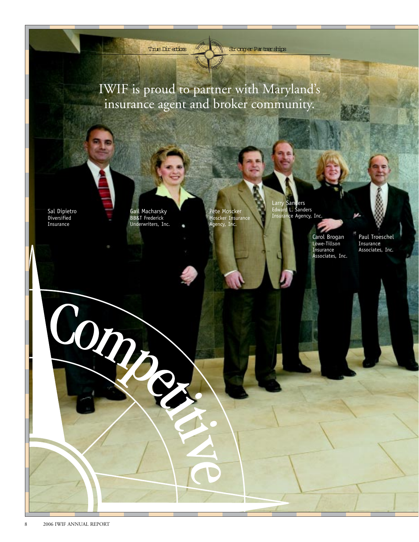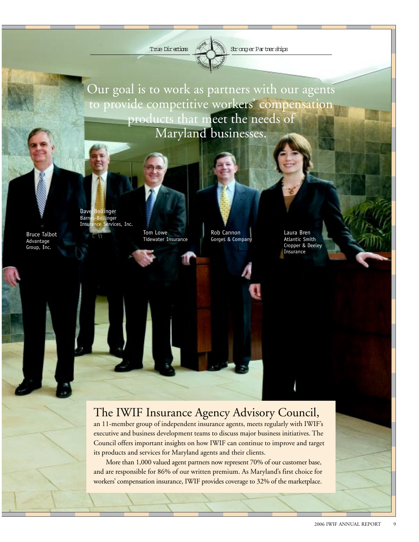The Directions  $\left(\frac{1}{2}\right)$  Stronger Partnerships

Our goal is to work as partners with our agents to provide competitive workers' compensation products that meet the needs of Maryland businesses.

Bruce Talbot Advantage Group, Inc.

Dave Bollinger Barnes-Bollinger Insurance Services, Inc.

Tom Lowe Tidewater Insurance

Rob Cannon Gorges & Company Laura Bren Atlantic Smith Cropper & Deeley **Insurance** 

# The IWIF Insurance Agency Advisory Council,

an 11-member group of independent insurance agents, meets regularly with IWIF's executive and business development teams to discuss major business initiatives. The Council offers important insights on how IWIF can continue to improve and target its products and services for Maryland agents and their clients.

More than 1,000 valued agent partners now represent 70% of our customer base, and are responsible for 86% of our written premium. As Maryland's first choice for workers' compensation insurance, IWIF provides coverage to 32% of the marketplace.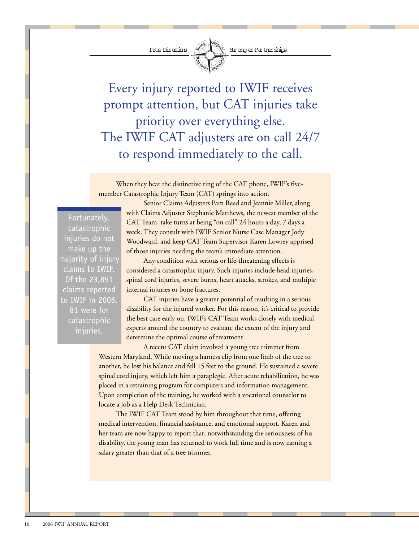

True Directions (XUX) Stronger Partnerships

Every injury reported to IWIF receives prompt attention, but CAT injuries take priority over everything else. The IWIF CAT adjusters are on call 24/7 to respond immediately to the call.

When they hear the distinctive ring of the CAT phone, IWIF's fivemember Catastrophic Injury Team (CAT) springs into action.

Fortunately, catastrophic injuries do not make up the majority of injury claims to IWIF. Of the 23,851 claims reported to IWIF in 2006, 81 were for catastrophic injuries.

Senior Claims Adjusters Pam Reed and Jeannie Miller, along with Claims Adjuster Stephanie Matthews, the newest member of the CAT Team, take turns at being "on call" 24 hours a day, 7 days a week. They consult with IWIF Senior Nurse Case Manager Jody Woodward, and keep CAT Team Supervisor Karen Lowrey apprised of those injuries needing the team's immediate attention.

Any condition with serious or life-threatening effects is considered a catastrophic injury. Such injuries include head injuries, spinal cord injuries, severe burns, heart attacks, strokes, and multiple internal injuries or bone fractures.

CAT injuries have a greater potential of resulting in a serious disability for the injured worker. For this reason, it's critical to provide the best care early on. IWIF's CAT Team works closely with medical experts around the country to evaluate the extent of the injury and determine the optimal course of treatment.

A recent CAT claim involved a young tree trimmer from Western Maryland. While moving a harness clip from one limb of the tree to another, he lost his balance and fell 15 feet to the ground. He sustained a severe spinal cord injury, which left him a paraplegic. After acute rehabilitation, he was placed in a retraining program for computers and information management. Upon completion of the training, he worked with a vocational counselor to locate a job as a Help Desk Technician.

The IWIF CAT Team stood by him throughout that time, offering medical intervention, financial assistance, and emotional support. Karen and her team are now happy to report that, notwithstanding the seriousness of his disability, the young man has returned to work full time and is now earning a salary greater than that of a tree trimmer.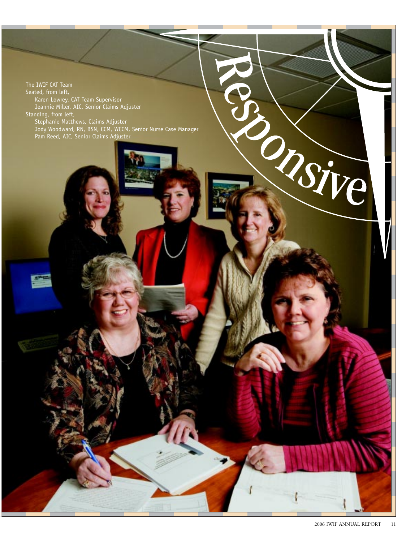The IWIF CAT Team Seated, from left, Karen Lowrey, CAT Team Supervisor Jeannie Miller, AIC, Senior Claims Adjuster Standing, from left, Stephanie Matthews, Claims Adjuster Jody Woodward, RN, BSN, CCM, WCCM, Senior Nurse Case Manager Pam Reed, AIC, Senior Claims Adjuster

Orsive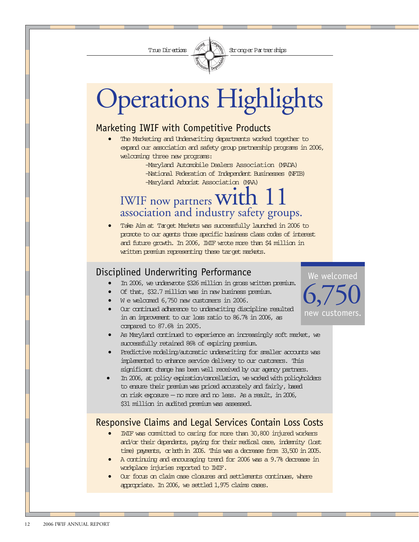

# Operations Highlights

# Marketing IWIF with Competitive Products

The Marketing and Underwriting departments worked together to expand our association and safety group partnership programs in 2006, welcoming three new programs:

-Maryland Automobile Dealers Association (MADA) -National Federation of Independent Businesses (NFIB) -Maryland Arborist Association (MAA)

# IWIF now partners  ${\rm W1th}$ association and industry safety groups.

• Take Aim at Target Markets was successfully launched in 2006 to promote to our agents those specific business class codes of interest and future growth. In 2006, IWIF wrote more than \$4 million in written premium representing these target markets.

# Disciplined Underwriting Performance

- In 2006, we underwrote \$326 million in gross written premium.
- Of that, \$32.7 million was in new business premium.
- W e welcomed 6,750 new customers in 2006.
- Our continued adherence to underwriting discipline resulted in an improvement to our loss ratio to 86.7% in 2006, as compared to 87.6% in 2005.
- As Maryland continued to experience an increasingly soft market, we successfully retained 86% of expiring premium.
- Predictive modeling/automatic underwriting for smaller accounts was implemented to enhance service delivery to our customers. This significant change has been well received by our agency partners.
- In 2006, at policy expiration/cancellation, we worked with policyholders to ensure their premium was priced accurately and fairly, based on risk exposure — no more and no less. As a result, in 2006, \$31 million in audited premium was assessed.

# Responsive Claims and Legal Services Contain Loss Costs

- IWIF was committed to caring for more than 30,800 injured workers and/or their dependents, paying for their medical care, indemnity (lost time) payments, or both in 2006. This was a decrease from 33,500 in 2005.
- A continuing and encouraging trend for 2006 was a 9.7% decrease in workplace injuries reported to IWIF.
- Our focus on claim case closures and settlements continues, where appropriate. In 2006, we settled 1,975 claims cases.

We welcomed new customers. 6,750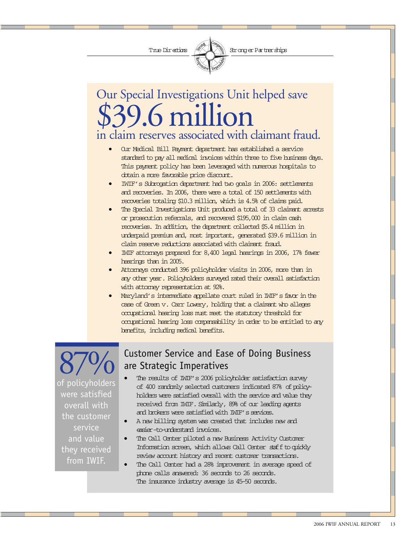

# Our Special Investigations Unit helped save in claim reserves associated with claimant fraud. \$39.6 million

- Our Medical Bill Payment department has established a service standard to pay all medical invoices within three to five business days. This payment policy has been leveraged with numerous hospitals to obtain a more favorable price discount.
- IWIF's Subrogation department had two goals in 2006: settlements and recoveries. In 2006, there were a total of 150 settlements with recoveries totaling \$10.3 million, which is 4.5% of claims paid.
- The Special Investigations Unit produced a total of 33 claimant arrests or prosecution referrals, and recovered \$195,000 in claim cash recoveries. In addition, the department collected \$5.4 million in underpaid premium and, most important, generated \$39.6 million in claim reserve reductions associated with claimant fraud.
- IWIF attorneys prepared for 8,400 legal hearings in 2006, 17% fewer hearings than in 2005.
- Attorneys conducted 396 policyholder visits in 2006, more than in any other year. Policyholders surveyed rated their overall satisfaction with attorney representation at 92%.
- Maryland's intermediate appellate court ruled in IWIF's favor in the case of Green v. Carr Lowery, holding that a claimant who alleges occupational hearing loss must meet the statutory threshold for occupational hearing loss compensability in order to be entitled to any benefits, including medical benefits.

of policyholders were satisfied overall with the customer service and value they received from IWIF.

# **870 • Customer Service and Ease of Doing Business**<br>are Strategic Imperatives<br>of policyholders satisfaction survey are Strategic Imperatives

- of 400 randomly selected customers indicated 87% of policyholders were satisfied overall with the service and value they received from IWIF. Similarly, 89% of our leading agents and brokers were satisfied with IWIF's services.
- A new billing system was created that includes new and easier-to-understand invoices.
- The Call Center piloted a new Business Activity Customer Information screen, which allows Call Center staff to quickly review account history and recent customer transactions.
- The Call Center had a 28% improvement in average speed of phone calls answered: 36 seconds to 26 seconds. The insurance industry average is 45-50 seconds.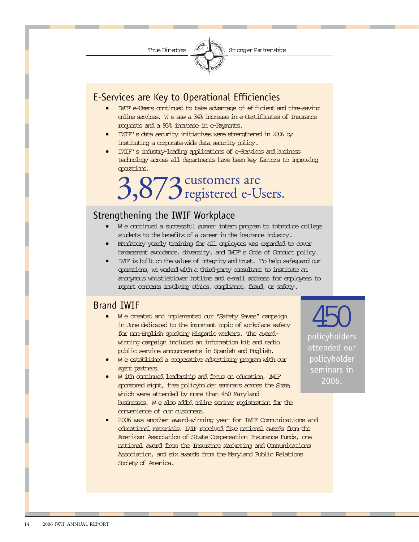

# E-Services are Key to Operational Efficiencies

- IWIF e-Users continued to take advantage of efficient and time-saving online services. W e saw a 34% increase in e-Certificates of Insurance requests and a 93% increase in e-Payments.
- IWIF's data security initiatives were strengthened in 2006 by instituting a corporate-wide data security policy.
- IWIF's industry-leading applications of e-Services and business technology across all departments have been key factors to improving operations.

# 3,873 customers are<br>3,873 registered e-Users.

# Strengthening the IWIF Workplace

- W e continued a successful summer intern program to introduce college students to the benefits of a career in the insurance industry.
- Mandatory yearly training for all employees was expanded to cover harassment avoidance, diversity, and IWIF's Code of Conduct policy.
- IWIF is built on the values of integrity and trust. To help safeguard our operations, we worked with a third-party consultant to institute an anonymous whistleblower hotline and e-mail address for employees to report concerns involving ethics, compliance, fraud, or safety.

## Brand IWIF

- W e created and implemented our "Safety Saves" campaign in June dedicated to the important topic of workplace safety for non-English speaking Hispanic workers. The awardwinning campaign included an information kit and radio public service announcements in Spanish and English.
- W e established a cooperative advertising program with our agent partners.
- W ith continued leadership and focus on education, IWIF sponsored eight, free policyholder seminars across the State, which were attended by more than 450 Maryland businesses. W e also added online seminar registration for the convenience of our customers.
- 2006 was another award-winning year for IWIF Communications and educational materials. IWIF received five national awards from the American Association of State Compensation Insurance Funds, one national award from the Insurance Marketing and Communications Association, and six awards from the Maryland Public Relations Society of America.

policyholders attended our policyholder seminars in 2006. 450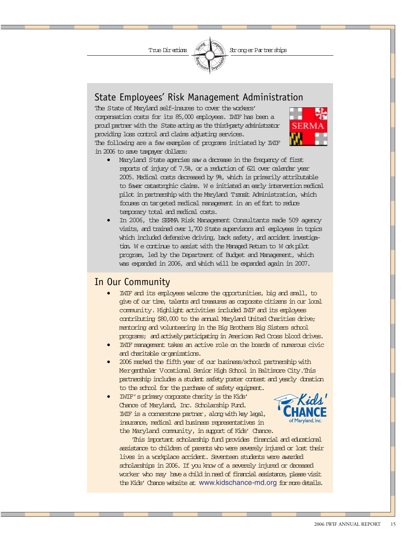

## State Employees' Risk Management Administration

The State of Maryland self-insures to cover the workers' compensation costs for its 85,000 employees. IWIF has been a proud partner with the State acting as the third-party administrator providing loss control and claims adjusting services. The following are a few examples of programs initiated by IWIF in 2006 to save taxpayer dollars:



- Maryland State agencies saw a decrease in the frequency of first reports of injury of 7.5%, or a reduction of 621 over calendar year 2005. Medical costs decreased by 9%, which is primarily attributable to fewer catastrophic claims. W e initiated an early intervention medical pilot in partnership with the Maryland Transit Administration, which focuses on targeted medical management in an effort to reduce temporary total and medical costs.
- In 2006, the SERMA Risk Management Consultants made 509 agency visits, and trained over 1,700 State supervisors and employees in topics which included defensive driving, back safety, and accident investigation. We continue to assist with the Managed Return to W ork pilot program, led by the Department of Budget and Management, which was expanded in 2006, and which will be expanded again in 2007.

## In Our Community

- IWIF and its employees welcome the opportunities, big and small, to give of our time, talents and treasures as corporate citizens in our local community. Highlight activities included IWIF and its employees contributing \$80,000 to the annual Maryland United Charities drive; mentoring and volunteering in the Big Brothers Big Sisters school programs; and actively participating in American Red Cross blood drives.
- IWIF management takes an active role on the boards of numerous civic and charitable organizations.
- 2006 marked the fifth year of our business/school partnership with Mergenthaler Vocational Senior High School in Baltimore City. This partnership includes a student safety poster contest and yearly donation to the school for the purchase of safety equipment.
- IWIF's primary corporate charity is the Kids' Chance of Maryland, Inc. Scholarship Fund. IWIF is a cornerstone partner, along with key legal, insurance, medical and business representatives in the Maryland community, in support of Kids' Chance.



 This important scholarship fund provides financial and educational assistance to children of parents who were severely injured or lost their lives in a workplace accident. Seventeen students were awarded scholarships in 2006. If you know of a severely injured or deceased worker who may have a child in need of financial assistance, please visit the Kids' Chance website at www.kidschance-md.org for more details.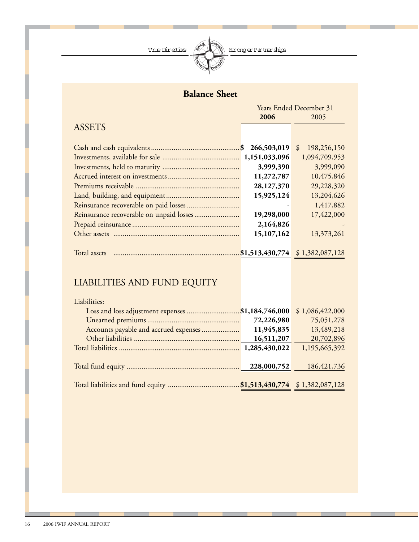

# **Balance Sheet**

|               | <b>Years Ended December 31</b> |                                   |
|---------------|--------------------------------|-----------------------------------|
|               | 2006                           | 2005                              |
| <b>ASSETS</b> |                                |                                   |
|               |                                |                                   |
|               | 266,503,019<br>$\mathbf{S}$    | 198,256,150<br>$\mathcal{S}$      |
|               | 1,151,033,096                  | 1,094,709,953                     |
|               | 3,999,390                      | 3,999,090                         |
|               | 11,272,787                     | 10,475,846                        |
|               | 28,127,370                     | 29,228,320                        |
|               | 15,925,124                     | 13,204,626                        |
|               |                                | 1,417,882                         |
|               | 19,298,000                     | 17,422,000                        |
|               | 2,164,826                      |                                   |
|               | 15,107,162                     | 13,373,261                        |
|               |                                |                                   |
| Total assets  |                                | $$1,513,430,774$ $$1,382,087,128$ |

# LIABILITIES AND FUND EQUITY

| Liabilities:                                      |             |                 |
|---------------------------------------------------|-------------|-----------------|
| Loss and loss adjustment expenses \$1,184,746,000 |             | \$1,086,422,000 |
|                                                   | 72,226,980  | 75,051,278      |
| Accounts payable and accrued expenses             | 11,945,835  | 13,489,218      |
|                                                   | 16,511,207  | 20,702,896      |
|                                                   |             | 1,195,665,392   |
|                                                   |             |                 |
|                                                   | 228,000,752 | 186, 421, 736   |
|                                                   |             |                 |
|                                                   |             |                 |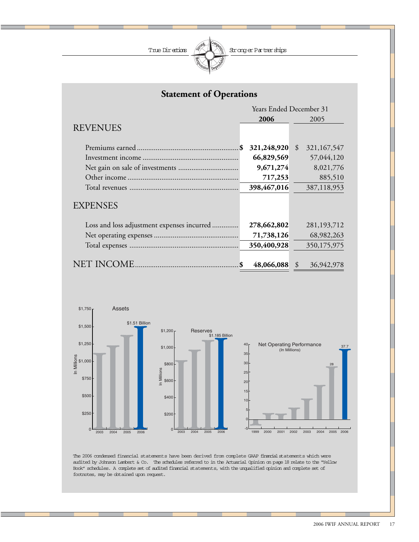

| <b>Statement of Operations</b>             |                                |                                |  |  |
|--------------------------------------------|--------------------------------|--------------------------------|--|--|
|                                            | <b>Years Ended December 31</b> |                                |  |  |
|                                            | 2006                           | 2005                           |  |  |
| <b>REVENUES</b>                            |                                |                                |  |  |
|                                            |                                |                                |  |  |
| \$                                         | 321,248,920                    | $\mathcal{S}$<br>321, 167, 547 |  |  |
|                                            | 66,829,569                     | 57,044,120                     |  |  |
|                                            | 9,671,274                      | 8,021,776                      |  |  |
|                                            | 717,253                        | 885,510                        |  |  |
|                                            | 398,467,016                    | 387,118,953                    |  |  |
| <b>EXPENSES</b>                            |                                |                                |  |  |
| Loss and loss adjustment expenses incurred | 278,662,802                    | 281,193,712                    |  |  |
|                                            | 71,738,126                     | 68,982,263                     |  |  |
|                                            | 350,400,928                    | 350,175,975                    |  |  |
| NET INCOME                                 | 48,066,088                     | 36,942,978<br>\$               |  |  |



The 2006 condensed financial statements have been derived from complete GAAP financial statements which were audited by Johnson Lambert & Co. The schedules referred to in the Actuarial Opinion on page 18 relate to the "Yellow Book" schedules. A complete set of audited financial statements, with the unqualified opinion and complete set of footnotes, may be obtained upon request.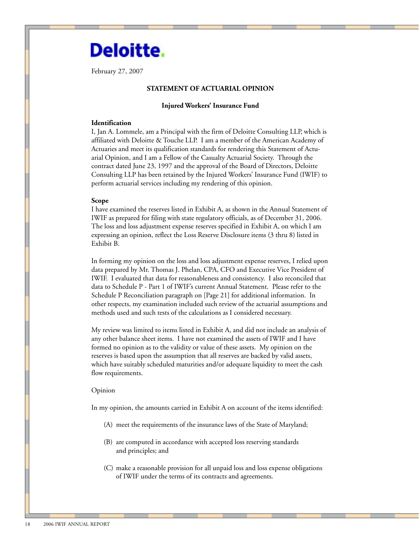# **Deloitte.**

February 27, 2007

### **STATEMENT OF ACTUARIAL OPINION**

### **Injured Workers' Insurance Fund**

### **Identification**

I, Jan A. Lommele, am a Principal with the firm of Deloitte Consulting LLP, which is affiliated with Deloitte & Touche LLP. I am a member of the American Academy of Actuaries and meet its qualification standards for rendering this Statement of Actuarial Opinion, and I am a Fellow of the Casualty Actuarial Society. Through the contract dated June 23, 1997 and the approval of the Board of Directors, Deloitte Consulting LLP has been retained by the Injured Workers' Insurance Fund (IWIF) to perform actuarial services including my rendering of this opinion.

#### **Scope**

I have examined the reserves listed in Exhibit A, as shown in the Annual Statement of IWIF as prepared for filing with state regulatory officials, as of December 31, 2006. The loss and loss adjustment expense reserves specified in Exhibit A, on which I am expressing an opinion, reflect the Loss Reserve Disclosure items (3 thru 8) listed in Exhibit B.

In forming my opinion on the loss and loss adjustment expense reserves, I relied upon data prepared by Mr. Thomas J. Phelan, CPA, CFO and Executive Vice President of IWIF. I evaluated that data for reasonableness and consistency. I also reconciled that data to Schedule P - Part 1 of IWIF's current Annual Statement. Please refer to the Schedule P Reconciliation paragraph on [Page 21] for additional information. In other respects, my examination included such review of the actuarial assumptions and methods used and such tests of the calculations as I considered necessary.

My review was limited to items listed in Exhibit A, and did not include an analysis of any other balance sheet items. I have not examined the assets of IWIF and I have formed no opinion as to the validity or value of these assets. My opinion on the reserves is based upon the assumption that all reserves are backed by valid assets, which have suitably scheduled maturities and/or adequate liquidity to meet the cash flow requirements.

#### Opinion

In my opinion, the amounts carried in Exhibit A on account of the items identified:

- (A) meet the requirements of the insurance laws of the State of Maryland;
- (B) are computed in accordance with accepted loss reserving standards and principles; and
- (C) make a reasonable provision for all unpaid loss and loss expense obligations of IWIF under the terms of its contracts and agreements.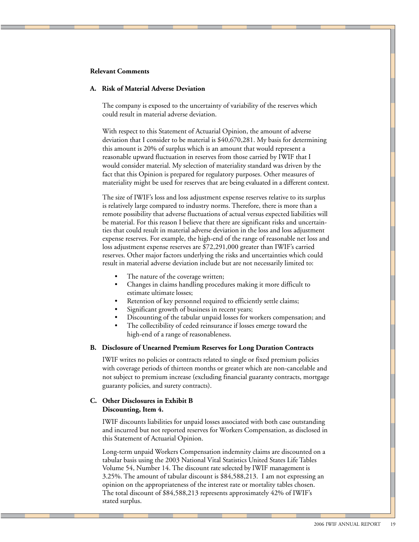### **Relevant Comments**

### **A. Risk of Material Adverse Deviation**

The company is exposed to the uncertainty of variability of the reserves which could result in material adverse deviation.

With respect to this Statement of Actuarial Opinion, the amount of adverse deviation that I consider to be material is \$40,670,281. My basis for determining this amount is 20% of surplus which is an amount that would represent a reasonable upward fluctuation in reserves from those carried by IWIF that I would consider material. My selection of materiality standard was driven by the fact that this Opinion is prepared for regulatory purposes. Other measures of materiality might be used for reserves that are being evaluated in a different context.

The size of IWIF's loss and loss adjustment expense reserves relative to its surplus is relatively large compared to industry norms. Therefore, there is more than a remote possibility that adverse fluctuations of actual versus expected liabilities will be material. For this reason I believe that there are significant risks and uncertainties that could result in material adverse deviation in the loss and loss adjustment expense reserves. For example, the high-end of the range of reasonable net loss and loss adjustment expense reserves are \$72,291,000 greater than IWIF's carried reserves. Other major factors underlying the risks and uncertainties which could result in material adverse deviation include but are not necessarily limited to:

- The nature of the coverage written;
- Changes in claims handling procedures making it more difficult to estimate ultimate losses;
- Retention of key personnel required to efficiently settle claims;
- Significant growth of business in recent years;
- Discounting of the tabular unpaid losses for workers compensation; and
- The collectibility of ceded reinsurance if losses emerge toward the high-end of a range of reasonableness.

### **B. Disclosure of Unearned Premium Reserves for Long Duration Contracts**

IWIF writes no policies or contracts related to single or fixed premium policies with coverage periods of thirteen months or greater which are non-cancelable and not subject to premium increase (excluding financial guaranty contracts, mortgage guaranty policies, and surety contracts).

### **C. Other Disclosures in Exhibit B Discounting, Item 4.**

IWIF discounts liabilities for unpaid losses associated with both case outstanding and incurred but not reported reserves for Workers Compensation, as disclosed in this Statement of Actuarial Opinion.

Long-term unpaid Workers Compensation indemnity claims are discounted on a tabular basis using the 2003 National Vital Statistics United States Life Tables Volume 54, Number 14. The discount rate selected by IWIF management is 3.25%. The amount of tabular discount is \$84,588,213. I am not expressing an opinion on the appropriateness of the interest rate or mortality tables chosen. The total discount of \$84,588,213 represents approximately 42% of IWIF's stated surplus.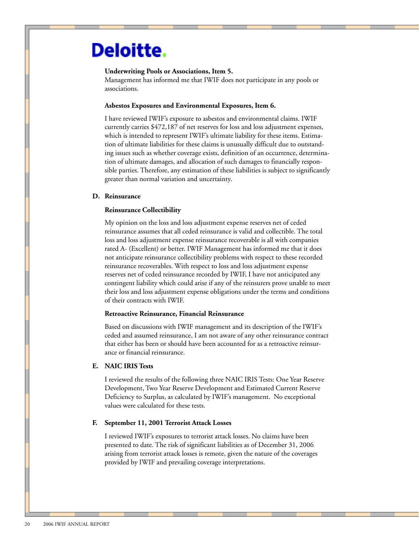# Deloitte.

### **Underwriting Pools or Associations, Item 5.**

Management has informed me that IWIF does not participate in any pools or associations.

### **Asbestos Exposures and Environmental Exposures, Item 6.**

I have reviewed IWIF's exposure to asbestos and environmental claims. IWIF currently carries \$472,187 of net reserves for loss and loss adjustment expenses, which is intended to represent IWIF's ultimate liability for these items. Estimation of ultimate liabilities for these claims is unusually difficult due to outstanding issues such as whether coverage exists, definition of an occurrence, determination of ultimate damages, and allocation of such damages to financially responsible parties. Therefore, any estimation of these liabilities is subject to significantly greater than normal variation and uncertainty.

### **D. Reinsurance**

### **Reinsurance Collectibility**

My opinion on the loss and loss adjustment expense reserves net of ceded reinsurance assumes that all ceded reinsurance is valid and collectible. The total loss and loss adjustment expense reinsurance recoverable is all with companies rated A- (Excellent) or better. IWIF Management has informed me that it does not anticipate reinsurance collectibility problems with respect to these recorded reinsurance recoverables. With respect to loss and loss adjustment expense reserves net of ceded reinsurance recorded by IWIF, I have not anticipated any contingent liability which could arise if any of the reinsurers prove unable to meet their loss and loss adjustment expense obligations under the terms and conditions of their contracts with IWIF.

### **Retroactive Reinsurance, Financial Reinsurance**

Based on discussions with IWIF management and its description of the IWIF's ceded and assumed reinsurance, I am not aware of any other reinsurance contract that either has been or should have been accounted for as a retroactive reinsurance or financial reinsurance.

### **E. NAIC IRIS Tests**

I reviewed the results of the following three NAIC IRIS Tests: One Year Reserve Development, Two Year Reserve Development and Estimated Current Reserve Deficiency to Surplus, as calculated by IWIF's management. No exceptional values were calculated for these tests.

### **F. September 11, 2001 Terrorist Attack Losses**

I reviewed IWIF's exposures to terrorist attack losses. No claims have been presented to date. The risk of significant liabilities as of December 31, 2006 arising from terrorist attack losses is remote, given the nature of the coverages provided by IWIF and prevailing coverage interpretations.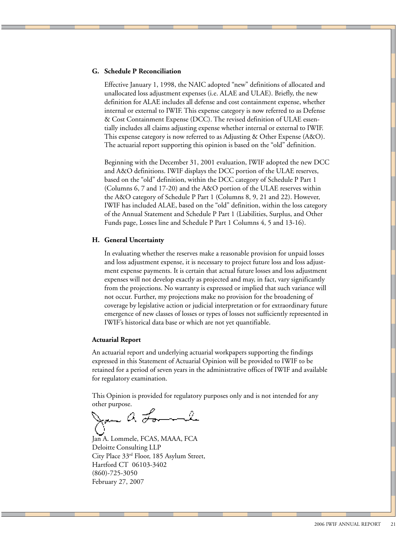### **G. Schedule P Reconciliation**

Effective January 1, 1998, the NAIC adopted "new" definitions of allocated and unallocated loss adjustment expenses (i.e. ALAE and ULAE). Briefly, the new definition for ALAE includes all defense and cost containment expense, whether internal or external to IWIF. This expense category is now referred to as Defense & Cost Containment Expense (DCC). The revised definition of ULAE essentially includes all claims adjusting expense whether internal or external to IWIF. This expense category is now referred to as Adjusting & Other Expense (A&O). The actuarial report supporting this opinion is based on the "old" definition.

Beginning with the December 31, 2001 evaluation, IWIF adopted the new DCC and A&O definitions. IWIF displays the DCC portion of the ULAE reserves, based on the "old" definition, within the DCC category of Schedule P Part 1 (Columns 6, 7 and 17-20) and the A&O portion of the ULAE reserves within the A&O category of Schedule P Part 1 (Columns 8, 9, 21 and 22). However, IWIF has included ALAE, based on the "old" definition, within the loss category of the Annual Statement and Schedule P Part 1 (Liabilities, Surplus, and Other Funds page, Losses line and Schedule P Part 1 Columns 4, 5 and 13-16).

### **H. General Uncertainty**

In evaluating whether the reserves make a reasonable provision for unpaid losses and loss adjustment expense, it is necessary to project future loss and loss adjustment expense payments. It is certain that actual future losses and loss adjustment expenses will not develop exactly as projected and may, in fact, vary significantly from the projections. No warranty is expressed or implied that such variance will not occur. Further, my projections make no provision for the broadening of coverage by legislative action or judicial interpretation or for extraordinary future emergence of new classes of losses or types of losses not sufficiently represented in IWIF's historical data base or which are not yet quantifiable.

### **Actuarial Report**

An actuarial report and underlying actuarial workpapers supporting the findings expressed in this Statement of Actuarial Opinion will be provided to IWIF to be retained for a period of seven years in the administrative offices of IWIF and available for regulatory examination.

This Opinion is provided for regulatory purposes only and is not intended for any

other purpose.<br>Jan A Formule

Jan A. Lommele, FCAS, MAAA, FCA Deloitte Consulting LLP City Place 33rd Floor, 185 Asylum Street, Hartford CT 06103-3402 (860)-725-3050 February 27, 2007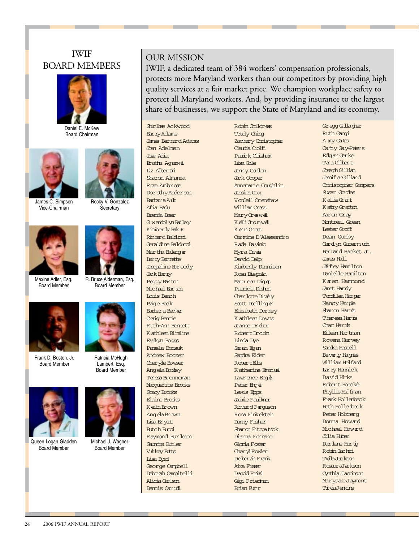## IWIF BOARD MEMBERS



Daniel E. McKew Board Chairman





James C. Simpson Vice-Chairman

Rocky V. Gonzalez **Secretary** 



Maxine Adler, Esq. Board Member



R. Bruce Alderman, Esq. Board Member



Frank D. Boston, Jr. Board Member



Lambert, Esq. Board Member

Michael J. Wagner Board Member



Queen Logan Gladden Board Member



### OUR MISSION

IWIF, a dedicated team of 384 workers' compensation professionals, protects more Maryland workers than our competitors by providing high quality services at a fair market price. We champion workplace safety to protect all Maryland workers. And, by providing insurance to the largest share of businesses, we support the State of Maryland and its economy.

Shirlbee Ackwood Barry Adams James Bernard Adams Joan Adelman Jose Adia Prabha Agarwal Liz Albertini Sharon Almanza Rose Ambrose Dorothy Anderson **Barbara Ault** Afia Badu Brenda Baer G wendolyn Bailey Kimberly Baker Richard Balducci Geraldine Balducci Martha Balenger Lar ry Barnette Jacqueline Baroody Jack Barry Peggy Barton Michael Barton Louis Beach Paige Beck Barbara Becker Craig Bencie Ruth-Ann Bennett K athleen Blimline Evelyn Boggs Pamela Bonsuk Andrew Boozer Cheryle Bowser Angela Boxley Teresa Brenneman Marguerite Brooks Stacy Brooks Elaine Brooks K eithBrown AngelaBrown Lisa Bryant Butch Bucci Raymond Burleson Saundra Butler Vickey Butts Lisa Byrd George Campbell Deborah Campitelli Alicia Carlson Dennis Carroll

Robin Childress Trudy Ching Zachary Christopher Claudia Ciolfi Patrick Clisham Lisa Cole Jenny Conlon Jack Cooper Annemarie Coughlin Jessica Cox VonCeil Crenshaw William Cress MaryCrewell K elliCromwell  $K$  $\sigma$ ri $G$ ross Carmine D'Alessandro Rada Davinic Myra Davis David Delp Kimberly Dennison Rosa Diepold Maureen Diggs Patricia Dishon CharlotteDively Scott Doellinger Elizabeth Dorney K athleen Downs Joanne Dreher Robert Drauin Linda Dye Sarah Egan Sandra Elder RobertEllis K atherine Emanuel Lawrence Engel Peter Engel Lewis Epps Jaimie Faulkner Richard Ferguson Rona Finkelstein Danny Fisher Sharon Fitzpatrick Dianna Fornaro Gloria Foster **CherylFowler** Deborah Frank Aixa Fraser David Fried Gigi Friedman Brian Furr

Gregg Gallagher Ruth Gangi A my Gates Cathy Gay-Peters Edgar Gerke Tara Gilbert Joseph Gillian JenniferGilliard Christopher Gompers Susan Gordes K allieGraff K athy Grafton Aaron Gray Montreal Green Lester Groff Dean Gunby Card yn Guterm uth Bernard Hackett, Jr. James Hall **JE** fey Hamilton Danielle Hamilton K aren Hammond Janet Hardy Tondilea Harper Nancy Harple Sharon Harris Theresa Harris Char Harris Eileen Hartman Rovena Harvey Sandra Hassell Beverly Haynes William Helfand Larry Hennick David Hinks Robert Hoeckel Phyllis Hoffman Frank Hollenbeck Beth Hollenbeck Peter Holzberg Donna Howard Michael Howard Julia Huber Darlene Hurtig Robin Iachini TwilaJackson RosauraJackson Cynthia Jacobson MaryJaneJaymont TriviaJenkins